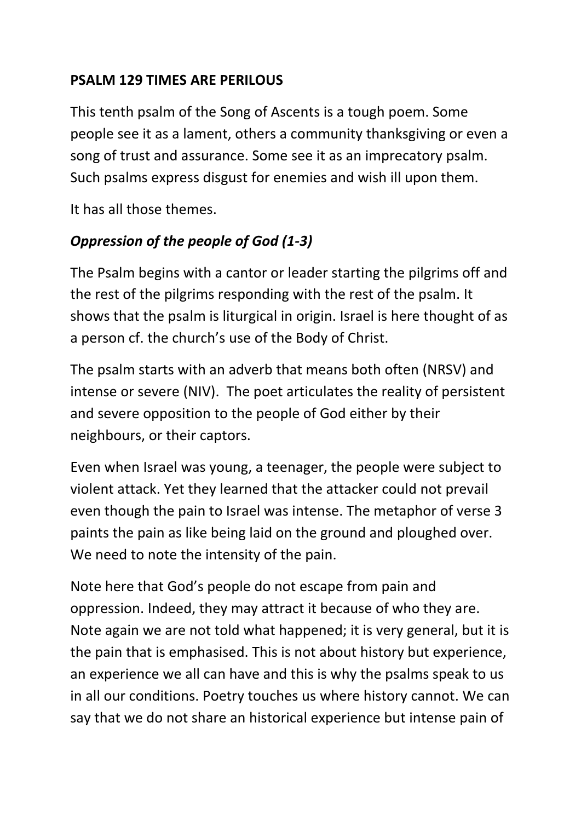#### **PSALM 129 TIMES ARE PERILOUS**

This tenth psalm of the Song of Ascents is a tough poem. Some people see it as a lament, others a community thanksgiving or even a song of trust and assurance. Some see it as an imprecatory psalm. Such psalms express disgust for enemies and wish ill upon them.

It has all those themes.

## *Oppression of the people of God (1-3)*

The Psalm begins with a cantor or leader starting the pilgrims off and the rest of the pilgrims responding with the rest of the psalm. It shows that the psalm is liturgical in origin. Israel is here thought of as a person cf. the church's use of the Body of Christ.

The psalm starts with an adverb that means both often (NRSV) and intense or severe (NIV). The poet articulates the reality of persistent and severe opposition to the people of God either by their neighbours, or their captors.

Even when Israel was young, a teenager, the people were subject to violent attack. Yet they learned that the attacker could not prevail even though the pain to Israel was intense. The metaphor of verse 3 paints the pain as like being laid on the ground and ploughed over. We need to note the intensity of the pain.

Note here that God's people do not escape from pain and oppression. Indeed, they may attract it because of who they are. Note again we are not told what happened; it is very general, but it is the pain that is emphasised. This is not about history but experience, an experience we all can have and this is why the psalms speak to us in all our conditions. Poetry touches us where history cannot. We can say that we do not share an historical experience but intense pain of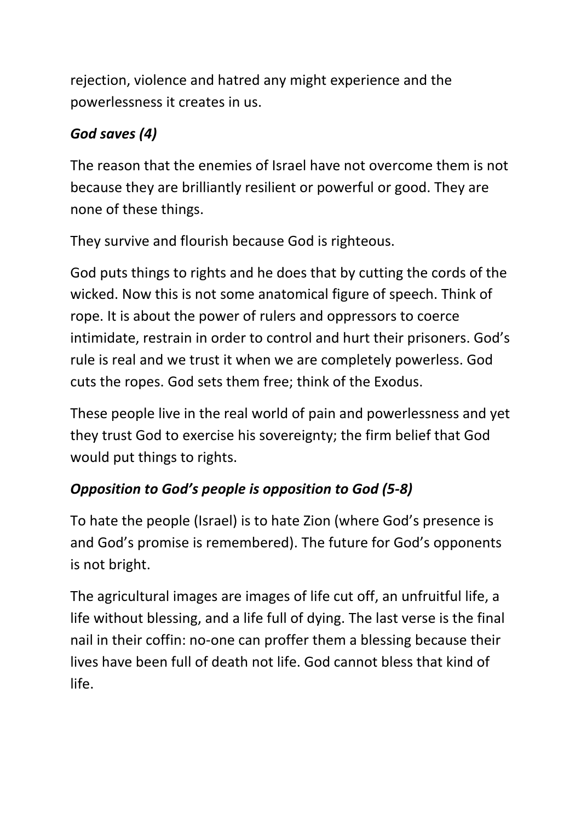rejection, violence and hatred any might experience and the powerlessness it creates in us.

# *God saves (4)*

The reason that the enemies of Israel have not overcome them is not because they are brilliantly resilient or powerful or good. They are none of these things.

They survive and flourish because God is righteous.

God puts things to rights and he does that by cutting the cords of the wicked. Now this is not some anatomical figure of speech. Think of rope. It is about the power of rulers and oppressors to coerce intimidate, restrain in order to control and hurt their prisoners. God's rule is real and we trust it when we are completely powerless. God cuts the ropes. God sets them free; think of the Exodus.

These people live in the real world of pain and powerlessness and yet they trust God to exercise his sovereignty; the firm belief that God would put things to rights.

# *Opposition to God's people is opposition to God (5-8)*

To hate the people (Israel) is to hate Zion (where God's presence is and God's promise is remembered). The future for God's opponents is not bright.

The agricultural images are images of life cut off, an unfruitful life, a life without blessing, and a life full of dying. The last verse is the final nail in their coffin: no-one can proffer them a blessing because their lives have been full of death not life. God cannot bless that kind of life.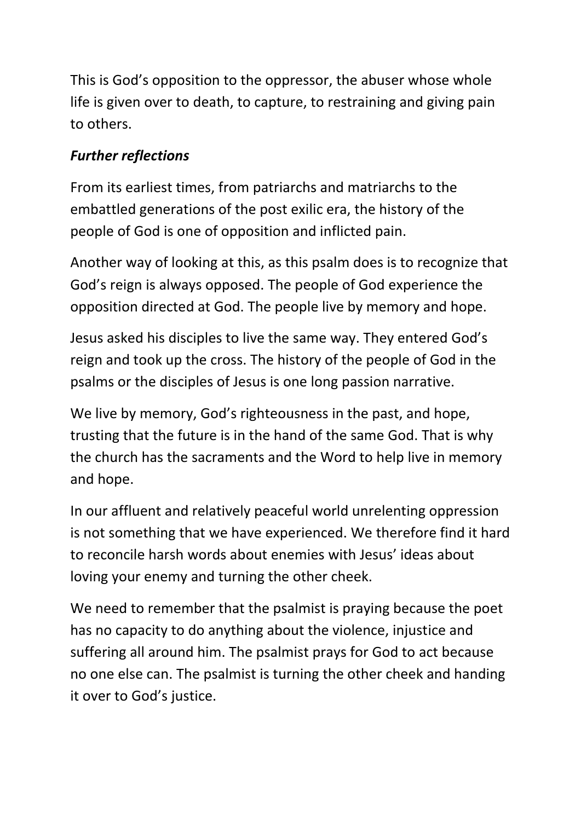This is God's opposition to the oppressor, the abuser whose whole life is given over to death, to capture, to restraining and giving pain to others.

### *Further reflections*

From its earliest times, from patriarchs and matriarchs to the embattled generations of the post exilic era, the history of the people of God is one of opposition and inflicted pain.

Another way of looking at this, as this psalm does is to recognize that God's reign is always opposed. The people of God experience the opposition directed at God. The people live by memory and hope.

Jesus asked his disciples to live the same way. They entered God's reign and took up the cross. The history of the people of God in the psalms or the disciples of Jesus is one long passion narrative.

We live by memory, God's righteousness in the past, and hope, trusting that the future is in the hand of the same God. That is why the church has the sacraments and the Word to help live in memory and hope.

In our affluent and relatively peaceful world unrelenting oppression is not something that we have experienced. We therefore find it hard to reconcile harsh words about enemies with Jesus' ideas about loving your enemy and turning the other cheek.

We need to remember that the psalmist is praying because the poet has no capacity to do anything about the violence, injustice and suffering all around him. The psalmist prays for God to act because no one else can. The psalmist is turning the other cheek and handing it over to God's justice.